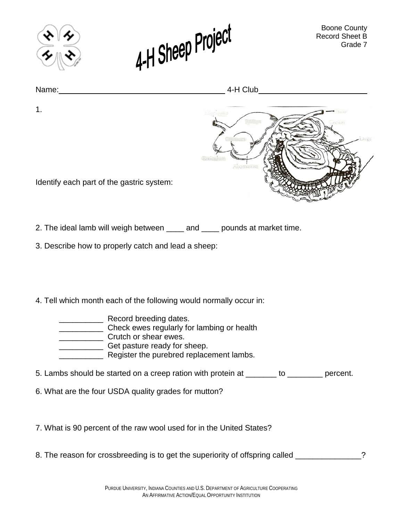



1.

Name: 4-H Club



Identify each part of the gastric system:

2. The ideal lamb will weigh between \_\_\_\_ and \_\_\_\_ pounds at market time.

3. Describe how to properly catch and lead a sheep:

4. Tell which month each of the following would normally occur in:

- \_\_\_\_\_\_\_\_\_\_ Record breeding dates. \_\_\_\_\_\_\_\_\_\_ Check ewes regularly for lambing or health **Crutch or shear ewes. EXECUTE:** Get pasture ready for sheep. **EXECUTE:** Register the purebred replacement lambs.
- 5. Lambs should be started on a creep ration with protein at \_\_\_\_\_\_\_ to \_\_\_\_\_\_\_\_ percent.
- 6. What are the four USDA quality grades for mutton?

7. What is 90 percent of the raw wool used for in the United States?

8. The reason for crossbreeding is to get the superiority of offspring called \_\_\_\_\_\_\_\_\_\_\_\_\_?